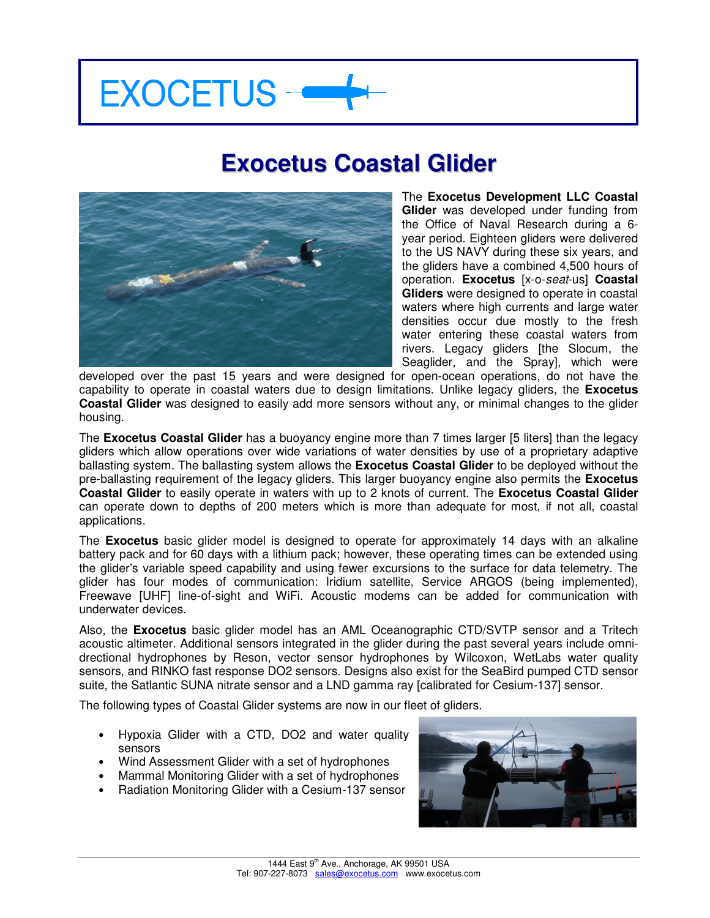# **EXOCETUS -**

## **Exocetus Coastal Glider**



The **Exocetus Development LLC Coastal Glider** was developed under funding from the Office of Naval Research during a 6 year period. Eighteen gliders were delivered to the US NAVY during these six years, and the gliders have a combined 4,500 hours of operation. **Exocetus** [x-o-seat-us] **Coastal Gliders** were designed to operate in coastal waters where high currents and large water densities occur due mostly to the fresh water entering these coastal waters from rivers. Legacy gliders [the Slocum, the Seaglider, and the Spray], which were

developed over the past 15 years and were designed for open-ocean operations, do not have the capability to operate in coastal waters due to design limitations. Unlike legacy gliders, the **Exocetus Coastal Glider** was designed to easily add more sensors without any, or minimal changes to the glider housing.

The **Exocetus Coastal Glider** has a buoyancy engine more than 7 times larger [5 liters] than the legacy gliders which allow operations over wide variations of water densities by use of a proprietary adaptive ballasting system. The ballasting system allows the **Exocetus Coastal Glider** to be deployed without the pre-ballasting requirement of the legacy gliders. This larger buoyancy engine also permits the **Exocetus Coastal Glider** to easily operate in waters with up to 2 knots of current. The **Exocetus Coastal Glider** can operate down to depths of 200 meters which is more than adequate for most, if not all, coastal applications.

The **Exocetus** basic glider model is designed to operate for approximately 14 days with an alkaline battery pack and for 60 days with a lithium pack; however, these operating times can be extended using the glider's variable speed capability and using fewer excursions to the surface for data telemetry. The glider has four modes of communication: Iridium satellite, Service ARGOS (being implemented), Freewave [UHF] line-of-sight and WiFi. Acoustic modems can be added for communication with underwater devices.

Also, the **Exocetus** basic glider model has an AML Oceanographic CTD/SVTP sensor and a Tritech acoustic altimeter. Additional sensors integrated in the glider during the past several years include omnidrectional hydrophones by Reson, vector sensor hydrophones by Wilcoxon, WetLabs water quality sensors, and RINKO fast response DO2 sensors. Designs also exist for the SeaBird pumped CTD sensor suite, the Satlantic SUNA nitrate sensor and a LND gamma ray [calibrated for Cesium-137] sensor.

The following types of Coastal Glider systems are now in our fleet of gliders.

- Hypoxia Glider with a CTD, DO2 and water quality sensors
- Wind Assessment Glider with a set of hydrophones
- Mammal Monitoring Glider with a set of hydrophones
- Radiation Monitoring Glider with a Cesium-137 sensor